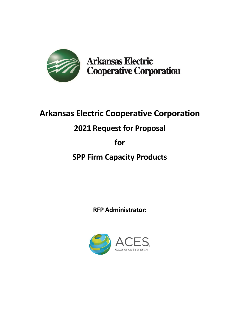

**Arkansas Electric Cooperative Corporation** 

# **Arkansas Electric Cooperative Corporation**

# **2021 Request for Proposal**

# **for**

**SPP Firm Capacity Products**

**RFP Administrator:**

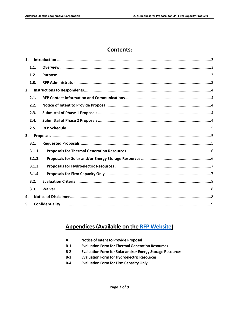## **Contents:**

| 1. |        |  |
|----|--------|--|
|    | 1.1.   |  |
|    | 1.2.   |  |
|    | 1.3.   |  |
| 2. |        |  |
|    | 2.1.   |  |
|    | 2.2.   |  |
|    | 2.3.   |  |
|    | 2.4.   |  |
|    | 2.5.   |  |
|    |        |  |
| 3. |        |  |
|    | 3.1.   |  |
|    | 3.1.1. |  |
|    | 3.1.2. |  |
|    | 3.1.3. |  |
|    | 3.1.4. |  |
|    | 3.2.   |  |
|    | 3.3.   |  |
| 4. |        |  |

# **Appendices (Available on the RFP Website)**

| A | <b>Notice of Intent to Provide Proposal</b> |
|---|---------------------------------------------|
|---|---------------------------------------------|

- $B-1$ **Evaluation Form for Thermal Generation Resources**
- $B-2$ Evaluation Form for Solar and/or Energy Storage Resources
- **Evaluation Form for Hydroelectric Resources**  $B-3$
- $B-4$ **Evaluation Form for Firm Capacity Only**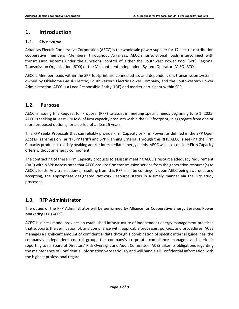## <span id="page-2-0"></span>**1. Introduction**

#### <span id="page-2-1"></span>**1.1. Overview**

Arkansas Electric Cooperative Corporation (AECC) is the wholesale power supplier for 17 electric distribution cooperative members (Members) throughout Arkansas. AECC's jurisdictional loads interconnect with transmission systems under the functional control of either the Southwest Power Pool (SPP) Regional Transmission Organization (RTO) or the Midcontinent Independent System Operator (MISO) RTO.

AECC's Member loads within the SPP footprint are connected to, and dependent on, transmission systems owned by Oklahoma Gas & Electric, Southwestern Electric Power Company, and the Southwestern Power Administration. AECC is a Load Responsible Entity (LRE) and market participant within SPP.

#### <span id="page-2-2"></span>**1.2. Purpose**

AECC is issuing this Request for Proposal (RFP) to assist in meeting specific needs beginning June 1, 2025. AECC is seeking at least 170 MW of firm capacity products within the SPP footprint, in aggregate from one or more proposed options, for a period of at least 5 years.

This RFP seeks Proposals that can reliably provide Firm Capacity or Firm Power, as defined in the SPP Open Access Transmission Tariff (SPP tariff) and SPP Planning Criteria. Through this RFP, AECC is seeking the Firm Capacity products to satisfy peaking and/or intermediate energy needs. AECC will also consider Firm Capacity offers without an energy component.

The contracting of these Firm Capacity products to assist in meeting AECC's resource adequacy requirement (RAR) within SPP necessitates that AECC acquire firm transmission service from the generation resource(s) to AECC's loads. Any transaction(s) resulting from this RFP shall be contingent upon AECC being awarded, and accepting, the appropriate designated Network Resource status in a timely manner via the SPP study processes.

#### <span id="page-2-3"></span>**1.3. RFP Administrator**

The duties of the RFP Administrator will be performed by Alliance for Cooperative Energy Services Power Marketing LLC (ACES).

ACES' business model provides an established infrastructure of independent energy management practices that supports the verification of, and compliance with, applicable processes, policies, and procedures. ACES manages a significant amount of confidential data through a combination of specific internal guidelines, the company's independent control group, the company's corporate compliance manager, and periodic reporting to its Board of Directors' Risk Oversight and Audit Committee. ACES takes its obligations regarding the maintenance of Confidential Information very seriously and will handle all Confidential Information with the highest professional regard.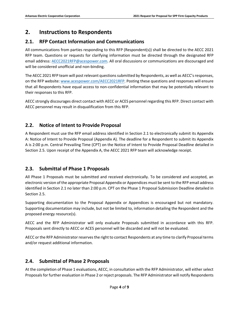# <span id="page-3-0"></span>**2. Instructions to Respondents**

## <span id="page-3-1"></span>**2.1. RFP Contact Information and Communications**

All communications from parties responding to this RFP (Respondent(s)) shall be directed to the AECC 2021 RFP team. Questions or requests for clarifying information must be directed through the designated RFP email address: [AECC2021RFP@acespower.com.](mailto:AECC2021RFP@acespower.com) All oral discussions or communications are discouraged and will be considered unofficial and non-binding.

The AECC 2021 RFP team will post relevant questions submitted by Respondents, as well as AECC's responses, on the RFP website[: www.acespower.com/AECC2021RFP](http://www.acespower.com/AECC2021RF). Posting these questions and responses will ensure that all Respondents have equal access to non-confidential information that may be potentially relevant to their responses to this RFP.

AECC strongly discourages direct contact with AECC or ACES personnel regarding this RFP. Direct contact with AECC personnel may result in disqualification from this RFP.

## <span id="page-3-2"></span>**2.2. Notice of Intent to Provide Proposal**

A Respondent must use the RFP email address identified in Section 2.1 to electronically submit its Appendix A: Notice of Intent to Provide Proposal (Appendix A). The deadline for a Respondent to submit its Appendix A is 2:00 p.m. Central Prevailing Time (CPT) on the Notice of Intent to Provide Proposal Deadline detailed in Section 2.5. Upon receipt of the Appendix A, the AECC 2021 RFP team will acknowledge receipt.

## <span id="page-3-3"></span>**2.3. Submittal of Phase 1 Proposals**

All Phase 1 Proposals must be submitted and received electronically. To be considered and accepted, an electronic version of the appropriate Proposal Appendix or Appendices must be sent to the RFP email address identified in Section 2.1 no later than 2:00 p.m. CPT on the Phase 1 Proposal Submission Deadline detailed in Section 2.5.

Supporting documentation to the Proposal Appendix or Appendices is encouraged but not mandatory. Supporting documentation may include, but not be limited to, information detailing the Respondent and the proposed energy resource(s).

AECC and the RFP Administrator will only evaluate Proposals submitted in accordance with this RFP. Proposals sent directly to AECC or ACES personnel will be discarded and will not be evaluated.

AECC or the RFP Administrator reserves the right to contact Respondents at any time to clarify Proposal terms and/or request additional information.

## <span id="page-3-4"></span>**2.4. Submittal of Phase 2 Proposals**

At the completion of Phase 1 evaluations, AECC, in consultation with the RFP Administrator, will either select Proposals for further evaluation in Phase 2 or reject proposals. The RFP Administrator will notify Respondents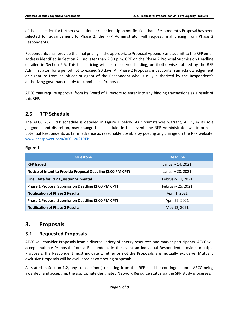of their selection for further evaluation or rejection. Upon notification that a Respondent's Proposal has been selected for advancement to Phase 2, the RFP Administrator will request final pricing from Phase 2 Respondents.

Respondents shall provide the final pricing in the appropriate Proposal Appendix and submit to the RFP email address identified in Section 2.1 no later than 2:00 p.m. CPT on the Phase 2 Proposal Submission Deadline detailed in Section 2.5. This final pricing will be considered binding, until otherwise notified by the RFP Administrator, for a period not to exceed 90 days. All Phase 2 Proposals must contain an acknowledgement or signature from an officer or agent of the Respondent who is duly authorized by the Respondent's authorizing governance body to submit such Proposal.

AECC may require approval from its Board of Directors to enter into any binding transactions as a result of this RFP.

#### <span id="page-4-0"></span>**2.5. RFP Schedule**

The AECC 2021 RFP schedule is detailed in Figure 1 below. As circumstances warrant, AECC, in its sole judgment and discretion, may change this schedule. In that event, the RFP Administrator will inform all potential Respondents as far in advance as reasonably possible by posting any change on the RFP website, [www.acespower.com/AECC2021RFP.](http://www.acespower.com/AECC2021RFP)

#### **Figure 1.**

| <b>Milestone</b>                                            | <b>Deadline</b>   |
|-------------------------------------------------------------|-------------------|
| <b>RFP Issued</b>                                           | January 14, 2021  |
| Notice of Intent to Provide Proposal Deadline (2:00 PM CPT) | January 28, 2021  |
| <b>Final Date for RFP Question Submittal</b>                | February 11, 2021 |
| <b>Phase 1 Proposal Submission Deadline (2:00 PM CPT)</b>   | February 25, 2021 |
| <b>Notification of Phase 1 Results</b>                      | April 1, 2021     |
| Phase 2 Proposal Submission Deadline (2:00 PM CPT)          | April 22, 2021    |
| <b>Notification of Phase 2 Results</b>                      | May 12, 2021      |

## <span id="page-4-1"></span>**3. Proposals**

#### <span id="page-4-2"></span>**3.1. Requested Proposals**

AECC will consider Proposals from a diverse variety of energy resources and market participants. AECC will accept multiple Proposals from a Respondent. In the event an individual Respondent provides multiple Proposals, the Respondent must indicate whether or not the Proposals are mutually exclusive. Mutually exclusive Proposals will be evaluated as competing proposals.

As stated in Section 1.2, any transaction(s) resulting from this RFP shall be contingent upon AECC being awarded, and accepting, the appropriate designated Network Resource status via the SPP study processes.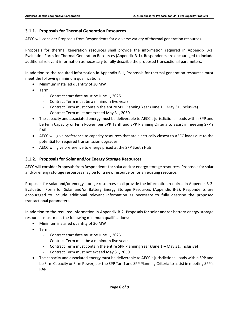#### <span id="page-5-0"></span>**3.1.1. Proposals for Thermal Generation Resources**

AECC will consider Proposals from Respondents for a diverse variety of thermal generation resources.

Proposals for thermal generation resources shall provide the information required in Appendix B-1: Evaluation Form for Thermal Generation Resources (Appendix B-1). Respondents are encouraged to include additional relevant information as necessary to fully describe the proposed transactional parameters.

In addition to the required information in Appendix B-1, Proposals for thermal generation resources must meet the following minimum qualifications:

- Minimum installed quantity of 30 MW
- Term:
	- Contract start date must be June 1, 2025
	- Contract Term must be a minimum five years
	- Contract Term must contain the entire SPP Planning Year (June 1 May 31, inclusive)
	- Contract Term must not exceed May 31, 2050
- The capacity and associated energy must be deliverable to AECC's jurisdictional loads within SPP and be Firm Capacity or Firm Power, per SPP Tariff and SPP Planning Criteria to assist in meeting SPP's RAR
- AECC will give preference to capacity resources that are electrically closest to AECC loads due to the potential for required transmission upgrades
- AECC will give preference to energy priced at the SPP South Hub

#### <span id="page-5-1"></span>**3.1.2. Proposals for Solar and/or Energy Storage Resources**

AECC will consider Proposals from Respondents for solar and/or energy storage resources. Proposals for solar and/or energy storage resources may be for a new resource or for an existing resource.

Proposals for solar and/or energy storage resources shall provide the information required in Appendix B-2: Evaluation Form for Solar and/or Battery Energy Storage Resources (Appendix B-2). Respondents are encouraged to include additional relevant information as necessary to fully describe the proposed transactional parameters.

In addition to the required information in Appendix B-2, Proposals for solar and/or battery energy storage resources must meet the following minimum qualifications:

- Minimum installed quantity of 30 MW
- Term:
	- Contract start date must be June 1, 2025
	- Contract Term must be a minimum five years
	- Contract Term must contain the entire SPP Planning Year (June 1 May 31, inclusive)
	- Contract Term must not exceed May 31, 2050
- The capacity and associated energy must be deliverable to AECC's jurisdictional loads within SPP and be Firm Capacity or Firm Power, per the SPP Tariff and SPP Planning Criteria to assist in meeting SPP's RAR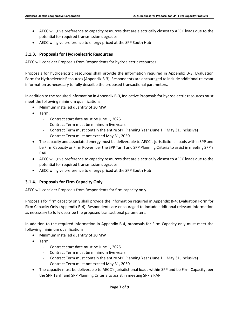- AECC will give preference to capacity resources that are electrically closest to AECC loads due to the potential for required transmission upgrades
- AECC will give preference to energy priced at the SPP South Hub

#### <span id="page-6-0"></span>**3.1.3. Proposals for Hydroelectric Resources**

AECC will consider Proposals from Respondents for hydroelectric resources.

Proposals for hydroelectric resources shall provide the information required in Appendix B-3: Evaluation Form for Hydroelectric Resources(Appendix B-3). Respondents are encouraged to include additional relevant information as necessary to fully describe the proposed transactional parameters.

In addition to the required information in Appendix B-3, Indicative Proposals for hydroelectric resources must meet the following minimum qualifications:

- Minimum installed quantity of 30 MW
- Term:
	- Contract start date must be June 1, 2025
	- Contract Term must be minimum five years
	- Contract Term must contain the entire SPP Planning Year (June 1 May 31, inclusive)
	- Contract Term must not exceed May 31, 2050
- The capacity and associated energy must be deliverable to AECC's jurisdictional loads within SPP and be Firm Capacity or Firm Power, per the SPP Tariff and SPP Planning Criteria to assist in meeting SPP's RAR
- AECC will give preference to capacity resources that are electrically closest to AECC loads due to the potential for required transmission upgrades
- AECC will give preference to energy priced at the SPP South Hub

#### <span id="page-6-1"></span>**3.1.4. Proposals for Firm Capacity Only**

AECC will consider Proposals from Respondents for firm capacity only.

Proposals for firm capacity only shall provide the information required in Appendix B-4: Evaluation Form for Firm Capacity Only (Appendix B-4). Respondents are encouraged to include additional relevant information as necessary to fully describe the proposed transactional parameters.

In addition to the required information in Appendix B-4, proposals for Firm Capacity only must meet the following minimum qualifications:

- Minimum installed quantity of 30 MW
- Term:
	- Contract start date must be June 1, 2025
	- Contract Term must be minimum five years
	- Contract Term must contain the entire SPP Planning Year (June 1 May 31, inclusive)
	- Contract Term must not exceed May 31, 2050
- The capacity must be deliverable to AECC's jurisdictional loads within SPP and be Firm Capacity, per the SPP Tariff and SPP Planning Criteria to assist in meeting SPP's RAR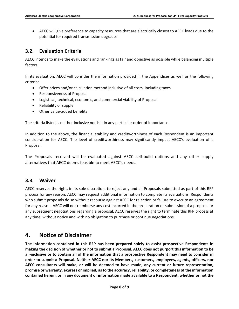AECC will give preference to capacity resources that are electrically closest to AECC loads due to the potential for required transmission upgrades

#### <span id="page-7-0"></span>**3.2. Evaluation Criteria**

AECC intends to make the evaluations and rankings as fair and objective as possible while balancing multiple factors.

In its evaluation, AECC will consider the information provided in the Appendices as well as the following criteria:

- Offer prices and/or calculation method inclusive of all costs, including taxes
- Responsiveness of Proposal
- Logistical, technical, economic, and commercial viability of Proposal
- Reliability of supply
- Other value-added benefits

The criteria listed is neither inclusive nor is it in any particular order of importance.

In addition to the above, the financial stability and creditworthiness of each Respondent is an important consideration for AECC. The level of creditworthiness may significantly impact AECC's evaluation of a Proposal.

The Proposals received will be evaluated against AECC self-build options and any other supply alternatives that AECC deems feasible to meet AECC's needs.

#### <span id="page-7-1"></span>**3.3. Waiver**

AECC reserves the right, in its sole discretion, to reject any and all Proposals submitted as part of this RFP process for any reason. AECC may request additional information to complete its evaluations. Respondents who submit proposals do so without recourse against AECC for rejection or failure to execute an agreement for any reason. AECC will not reimburse any cost incurred in the preparation or submission of a proposal or any subsequent negotiations regarding a proposal. AECC reserves the right to terminate this RFP process at any time, without notice and with no obligation to purchase or continue negotiations.

## <span id="page-7-2"></span>**4. Notice of Disclaimer**

**The information contained in this RFP has been prepared solely to assist prospective Respondents in making the decision of whether or not to submit a Proposal. AECC does not purport this information to be all-inclusive or to contain all of the information that a prospective Respondent may need to consider in order to submit a Proposal. Neither AECC nor its Members, customers, employees, agents, officers, nor AECC consultants will make, or will be deemed to have made, any current or future representation, promise or warranty, express or implied, as to the accuracy, reliability, or completeness of the information contained herein, or in any document or information made available to a Respondent, whether or not the**